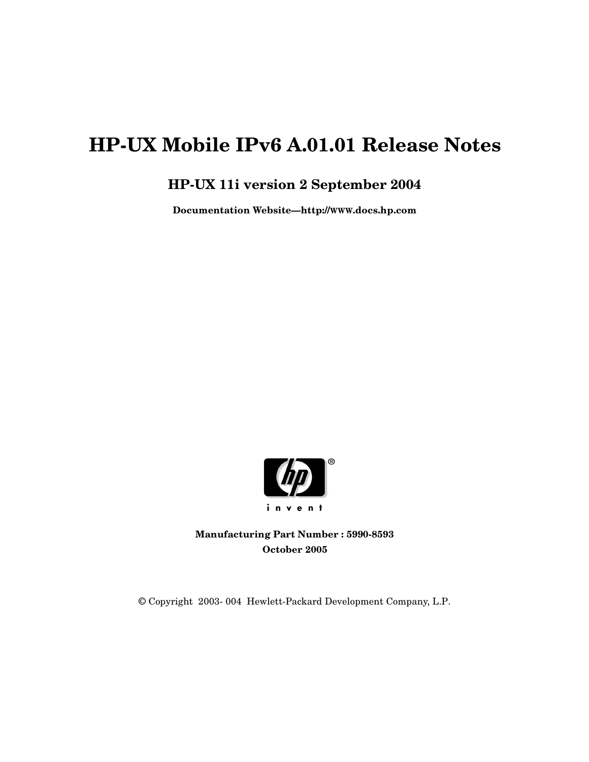# **HP-UX Mobile IPv6 A.01.01 Release Notes**

## **HP-UX 11i version 2 September 2004**

**Documentation Website—http://WWW.docs.hp.com**



**Manufacturing Part Number : 5990-8593 October 2005**

© Copyright 2003- 004 Hewlett-Packard Development Company, L.P.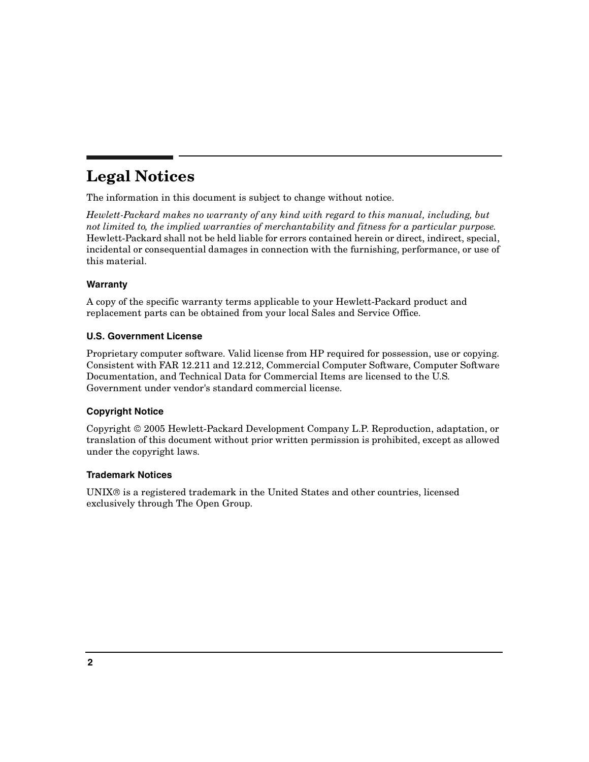## **Legal Notices**

The information in this document is subject to change without notice.

*Hewlett-Packard makes no warranty of any kind with regard to this manual, including, but not limited to, the implied warranties of merchantability and fitness for a particular purpose.* Hewlett-Packard shall not be held liable for errors contained herein or direct, indirect, special, incidental or consequential damages in connection with the furnishing, performance, or use of this material.

#### **Warranty**

A copy of the specific warranty terms applicable to your Hewlett-Packard product and replacement parts can be obtained from your local Sales and Service Office.

#### **U.S. Government License**

Proprietary computer software. Valid license from HP required for possession, use or copying. Consistent with FAR 12.211 and 12.212, Commercial Computer Software, Computer Software Documentation, and Technical Data for Commercial Items are licensed to the U.S. Government under vendor's standard commercial license.

#### **Copyright Notice**

Copyright 2005 Hewlett-Packard Development Company L.P. Reproduction, adaptation, or translation of this document without prior written permission is prohibited, except as allowed under the copyright laws.

#### **Trademark Notices**

 $UNIX<sup>®</sup>$  is a registered trademark in the United States and other countries, licensed exclusively through The Open Group.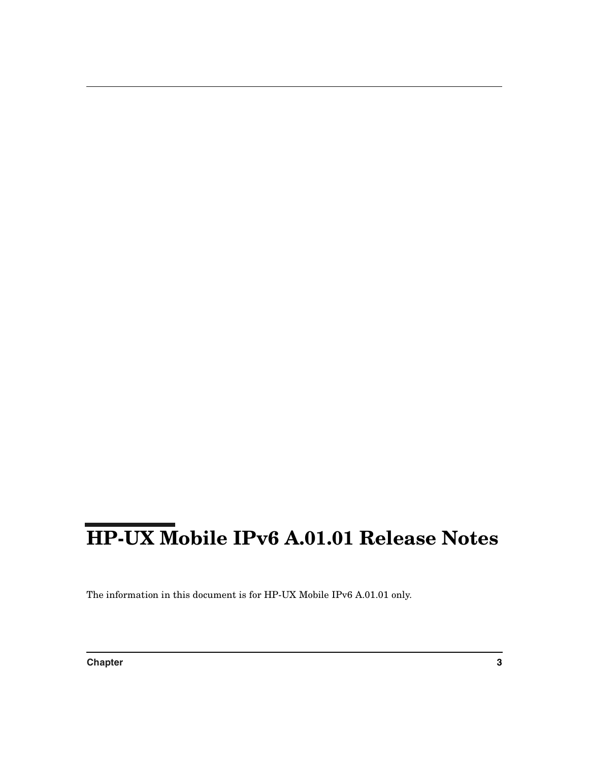# **HP-UX Mobile IPv6 A.01.01 Release Notes**

The information in this document is for HP-UX Mobile IPv6 A.01.01 only.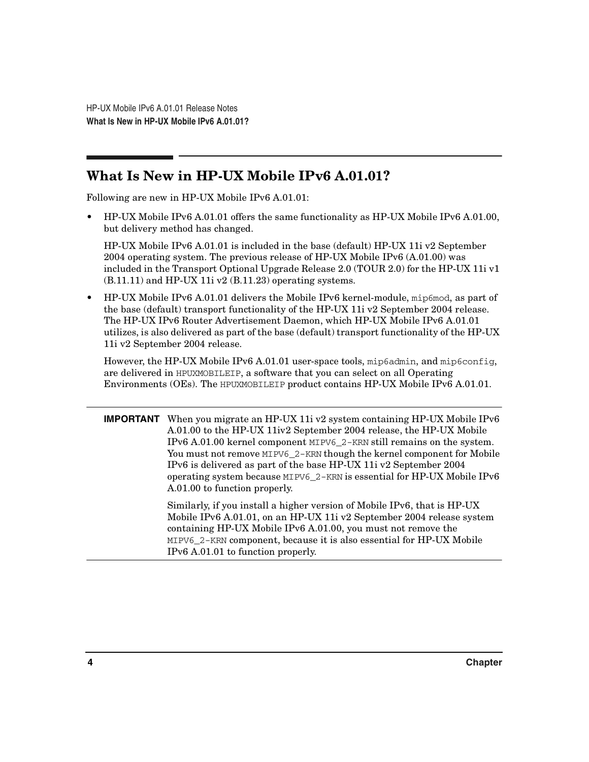## **What Is New in HP-UX Mobile IPv6 A.01.01?**

Following are new in HP-UX Mobile IPv6 A.01.01:

• HP-UX Mobile IPv6 A.01.01 offers the same functionality as HP-UX Mobile IPv6 A.01.00, but delivery method has changed.

HP-UX Mobile IPv6 A.01.01 is included in the base (default) HP-UX 11i v2 September 2004 operating system. The previous release of HP-UX Mobile IPv6 (A.01.00) was included in the Transport Optional Upgrade Release 2.0 (TOUR 2.0) for the HP-UX 11i v1 (B.11.11) and HP-UX 11i v2 (B.11.23) operating systems.

• HP-UX Mobile IPv6 A.01.01 delivers the Mobile IPv6 kernel-module, mip6mod, as part of the base (default) transport functionality of the HP-UX 11i v2 September 2004 release. The HP-UX IPv6 Router Advertisement Daemon, which HP-UX Mobile IPv6 A.01.01 utilizes, is also delivered as part of the base (default) transport functionality of the HP-UX 11i v2 September 2004 release.

However, the HP-UX Mobile IPv6 A.01.01 user-space tools, mip6admin, and mip6config, are delivered in HPUXMOBILEIP, a software that you can select on all Operating Environments (OEs). The HPUXMOBILEIP product contains HP-UX Mobile IPv6 A.01.01.

**IMPORTANT** When you migrate an HP-UX 11i v2 system containing HP-UX Mobile IPv6 A.01.00 to the HP-UX 11iv2 September 2004 release, the HP-UX Mobile IPv6 A.01.00 kernel component MIPV6\_2-KRN still remains on the system. You must not remove MIPV6\_2-KRN though the kernel component for Mobile IPv6 is delivered as part of the base HP-UX 11i v2 September 2004 operating system because MIPV6\_2-KRN is essential for HP-UX Mobile IPv6 A.01.00 to function properly.

> Similarly, if you install a higher version of Mobile IPv6, that is HP-UX Mobile IPv6 A.01.01, on an HP-UX 11i v2 September 2004 release system containing HP-UX Mobile IPv6 A.01.00, you must not remove the MIPV6\_2-KRN component, because it is also essential for HP-UX Mobile IPv6 A.01.01 to function properly.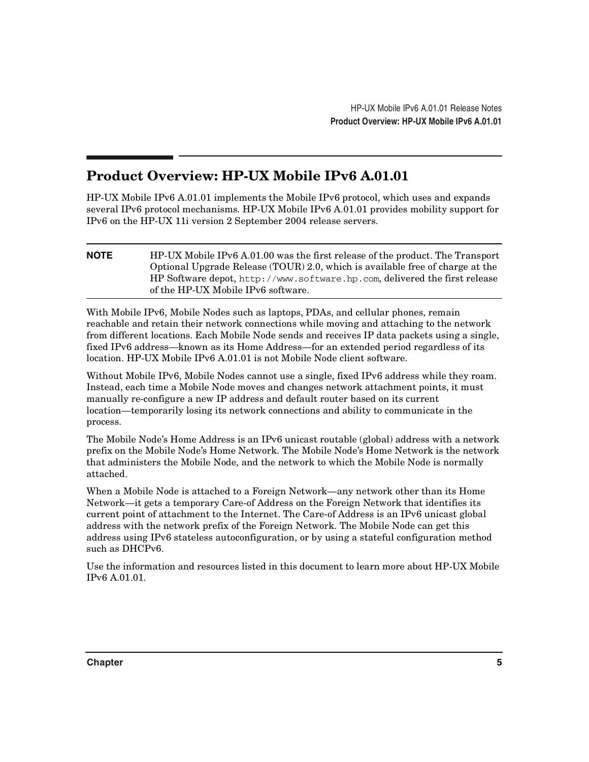## **Product Overview: HP-UX Mobile IPv6 A.01.01**

HP-UX Mobile IPv6 A.01.01 implements the Mobile IPv6 protocol, which uses and expands several IPv6 protocol mechanisms. HP-UX Mobile IPv6 A.01.01 provides mobility support for IPv6 on the HP-UX 11i version 2 September 2004 release servers.

**NOTE** HP-UX Mobile IPv6 A.01.00 was the first release of the product. The Transport Optional Upgrade Release (TOUR) 2.0, which is available free of charge at the HP Software depot, http://www.software.hp.com, delivered the first release of the HP-UX Mobile IPv6 software.

With Mobile IPv6, Mobile Nodes such as laptops, PDAs, and cellular phones, remain reachable and retain their network connections while moving and attaching to the network from different locations. Each Mobile Node sends and receives IP data packets using a single, fixed IPv6 address—known as its Home Address—for an extended period regardless of its location. HP-UX Mobile IPv6 A.01.01 is not Mobile Node client software.

Without Mobile IPv6, Mobile Nodes cannot use a single, fixed IPv6 address while they roam. Instead, each time a Mobile Node moves and changes network attachment points, it must manually re-configure a new IP address and default router based on its current location—temporarily losing its network connections and ability to communicate in the process.

The Mobile Node's Home Address is an IPv6 unicast routable (global) address with a network prefix on the Mobile Node's Home Network. The Mobile Node's Home Network is the network that administers the Mobile Node, and the network to which the Mobile Node is normally attached.

When a Mobile Node is attached to a Foreign Network—any network other than its Home Network—it gets a temporary Care-of Address on the Foreign Network that identifies its current point of attachment to the Internet. The Care-of Address is an IPv6 unicast global address with the network prefix of the Foreign Network. The Mobile Node can get this address using IPv6 stateless autoconfiguration, or by using a stateful configuration method such as DHCPv6.

Use the information and resources listed in this document to learn more about HP-UX Mobile IPv6 A.01.01.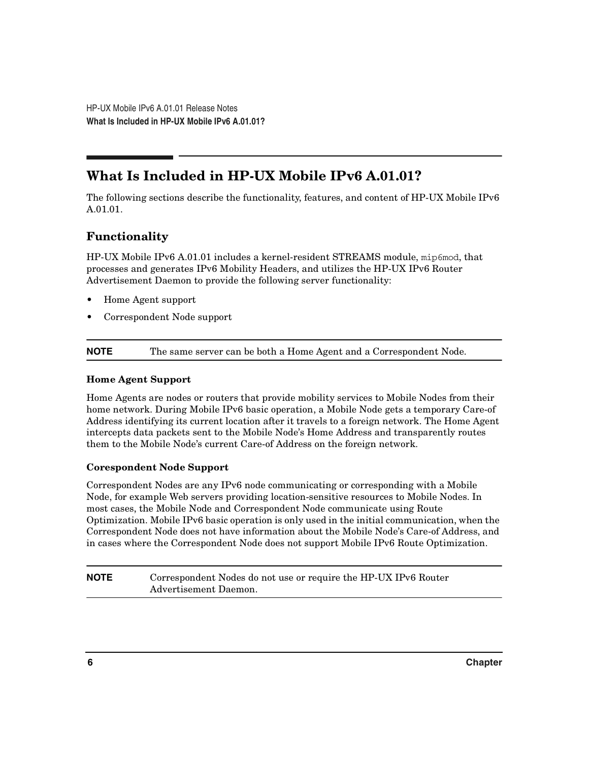## **What Is Included in HP-UX Mobile IPv6 A.01.01?**

The following sections describe the functionality, features, and content of HP-UX Mobile IPv6 A.01.01.

## **Functionality**

HP-UX Mobile IPv6 A.01.01 includes a kernel-resident STREAMS module, mip6mod, that processes and generates IPv6 Mobility Headers, and utilizes the HP-UX IPv6 Router Advertisement Daemon to provide the following server functionality:

- Home Agent support
- Correspondent Node support

**NOTE** The same server can be both a Home Agent and a Correspondent Node.

#### **Home Agent Support**

Home Agents are nodes or routers that provide mobility services to Mobile Nodes from their home network. During Mobile IPv6 basic operation, a Mobile Node gets a temporary Care-of Address identifying its current location after it travels to a foreign network. The Home Agent intercepts data packets sent to the Mobile Node's Home Address and transparently routes them to the Mobile Node's current Care-of Address on the foreign network.

#### **Corespondent Node Support**

Correspondent Nodes are any IPv6 node communicating or corresponding with a Mobile Node, for example Web servers providing location-sensitive resources to Mobile Nodes. In most cases, the Mobile Node and Correspondent Node communicate using Route Optimization. Mobile IPv6 basic operation is only used in the initial communication, when the Correspondent Node does not have information about the Mobile Node's Care-of Address, and in cases where the Correspondent Node does not support Mobile IPv6 Route Optimization.

#### **NOTE** Correspondent Nodes do not use or require the HP-UX IPv6 Router Advertisement Daemon.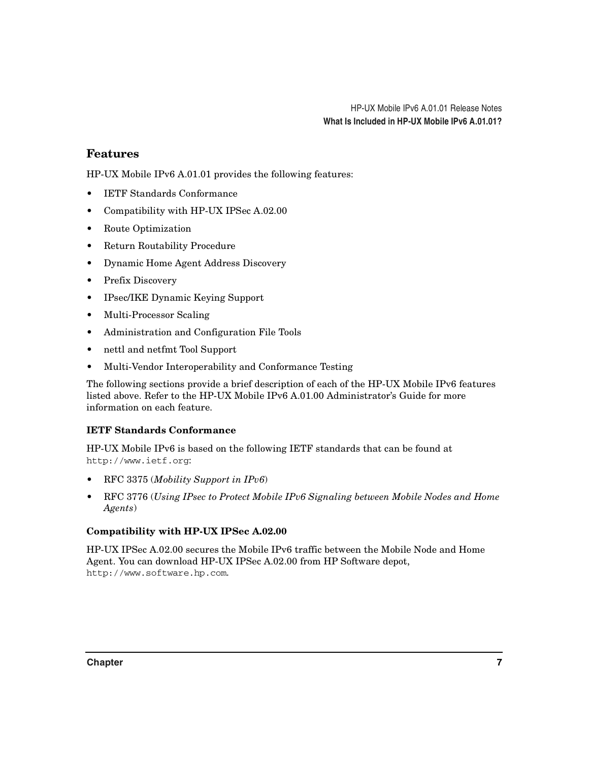## **Features**

HP-UX Mobile IPv6 A.01.01 provides the following features:

- IETF Standards Conformance
- Compatibility with HP-UX IPSec A.02.00
- Route Optimization
- Return Routability Procedure
- Dynamic Home Agent Address Discovery
- Prefix Discovery
- IPsec/IKE Dynamic Keying Support
- Multi-Processor Scaling
- Administration and Configuration File Tools
- nettl and netfmt Tool Support
- Multi-Vendor Interoperability and Conformance Testing

The following sections provide a brief description of each of the HP-UX Mobile IPv6 features listed above. Refer to the HP-UX Mobile IPv6 A.01.00 Administrator's Guide for more information on each feature.

#### **IETF Standards Conformance**

HP-UX Mobile IPv6 is based on the following IETF standards that can be found at http://www.ietf.org:

- RFC 3375 (*Mobility Support in IPv6*)
- RFC 3776 (*Using IPsec to Protect Mobile IPv6 Signaling between Mobile Nodes and Home Agents*)

#### **Compatibility with HP-UX IPSec A.02.00**

HP-UX IPSec A.02.00 secures the Mobile IPv6 traffic between the Mobile Node and Home Agent. You can download HP-UX IPSec A.02.00 from HP Software depot, http://www.software.hp.com.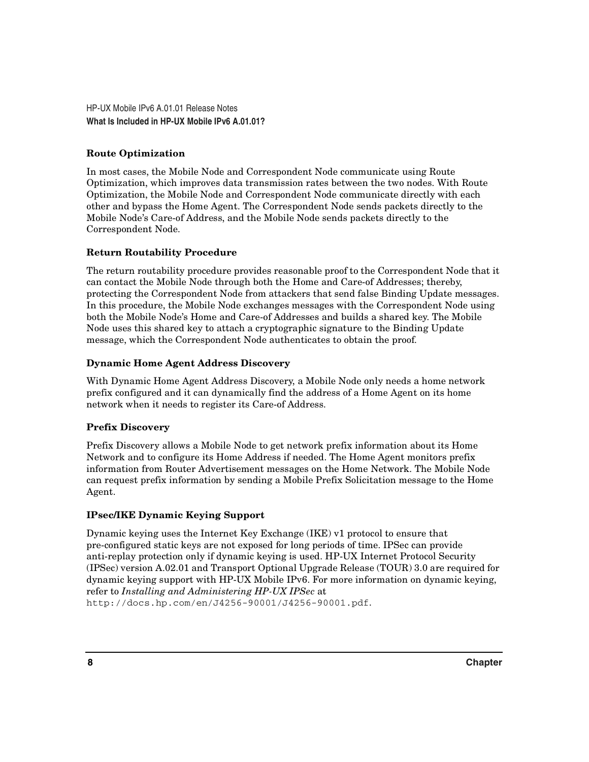#### **Route Optimization**

In most cases, the Mobile Node and Correspondent Node communicate using Route Optimization, which improves data transmission rates between the two nodes. With Route Optimization, the Mobile Node and Correspondent Node communicate directly with each other and bypass the Home Agent. The Correspondent Node sends packets directly to the Mobile Node's Care-of Address, and the Mobile Node sends packets directly to the Correspondent Node.

#### **Return Routability Procedure**

The return routability procedure provides reasonable proof to the Correspondent Node that it can contact the Mobile Node through both the Home and Care-of Addresses; thereby, protecting the Correspondent Node from attackers that send false Binding Update messages. In this procedure, the Mobile Node exchanges messages with the Correspondent Node using both the Mobile Node's Home and Care-of Addresses and builds a shared key. The Mobile Node uses this shared key to attach a cryptographic signature to the Binding Update message, which the Correspondent Node authenticates to obtain the proof.

#### **Dynamic Home Agent Address Discovery**

With Dynamic Home Agent Address Discovery, a Mobile Node only needs a home network prefix configured and it can dynamically find the address of a Home Agent on its home network when it needs to register its Care-of Address.

#### **Prefix Discovery**

Prefix Discovery allows a Mobile Node to get network prefix information about its Home Network and to configure its Home Address if needed. The Home Agent monitors prefix information from Router Advertisement messages on the Home Network. The Mobile Node can request prefix information by sending a Mobile Prefix Solicitation message to the Home Agent.

#### **IPsec/IKE Dynamic Keying Support**

Dynamic keying uses the Internet Key Exchange (IKE) v1 protocol to ensure that pre-configured static keys are not exposed for long periods of time. IPSec can provide anti-replay protection only if dynamic keying is used. HP-UX Internet Protocol Security (IPSec) version A.02.01 and Transport Optional Upgrade Release (TOUR) 3.0 are required for dynamic keying support with HP-UX Mobile IPv6. For more information on dynamic keying, refer to *Installing and Administering HP-UX IPSec* at http://docs.hp.com/en/J4256-90001/J4256-90001.pdf.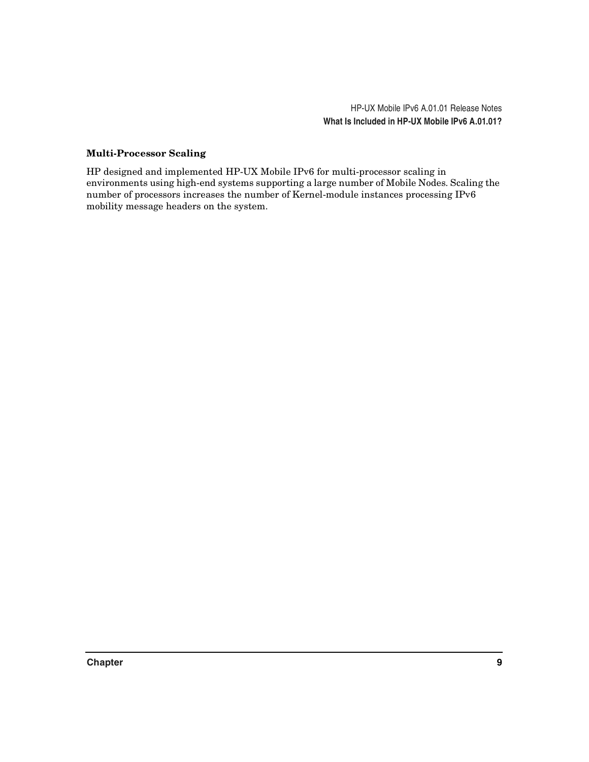#### **Multi-Processor Scaling**

HP designed and implemented HP-UX Mobile IPv6 for multi-processor scaling in environments using high-end systems supporting a large number of Mobile Nodes. Scaling the number of processors increases the number of Kernel-module instances processing IPv6 mobility message headers on the system.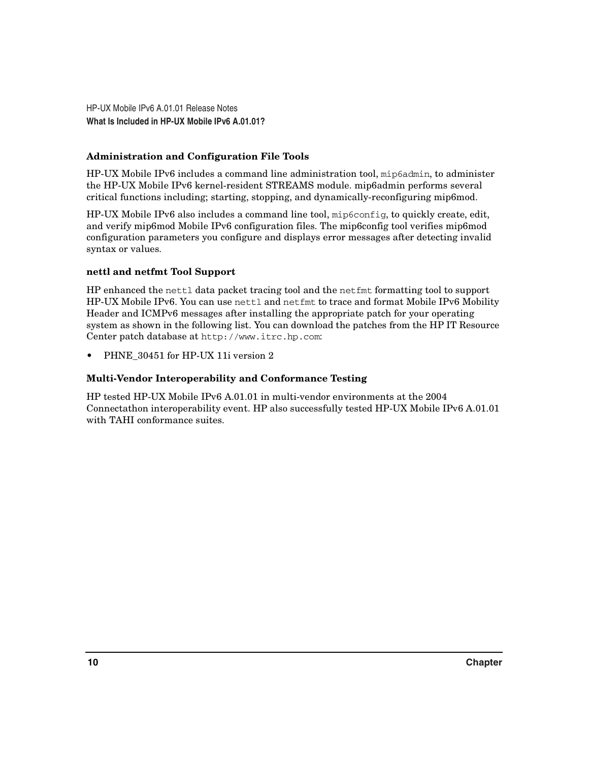#### **Administration and Configuration File Tools**

HP-UX Mobile IPv6 includes a command line administration tool, mip6admin, to administer the HP-UX Mobile IPv6 kernel-resident STREAMS module. mip6admin performs several critical functions including; starting, stopping, and dynamically-reconfiguring mip6mod.

HP-UX Mobile IPv6 also includes a command line tool, mip6config, to quickly create, edit, and verify mip6mod Mobile IPv6 configuration files. The mip6config tool verifies mip6mod configuration parameters you configure and displays error messages after detecting invalid syntax or values.

#### **nettl and netfmt Tool Support**

HP enhanced the nettl data packet tracing tool and the netfmt formatting tool to support HP-UX Mobile IPv6. You can use nettl and netfmt to trace and format Mobile IPv6 Mobility Header and ICMPv6 messages after installing the appropriate patch for your operating system as shown in the following list. You can download the patches from the HP IT Resource Center patch database at http://www.itrc.hp.com:

PHNE 30451 for HP-UX 11i version 2

#### **Multi-Vendor Interoperability and Conformance Testing**

HP tested HP-UX Mobile IPv6 A.01.01 in multi-vendor environments at the 2004 Connectathon interoperability event. HP also successfully tested HP-UX Mobile IPv6 A.01.01 with TAHI conformance suites.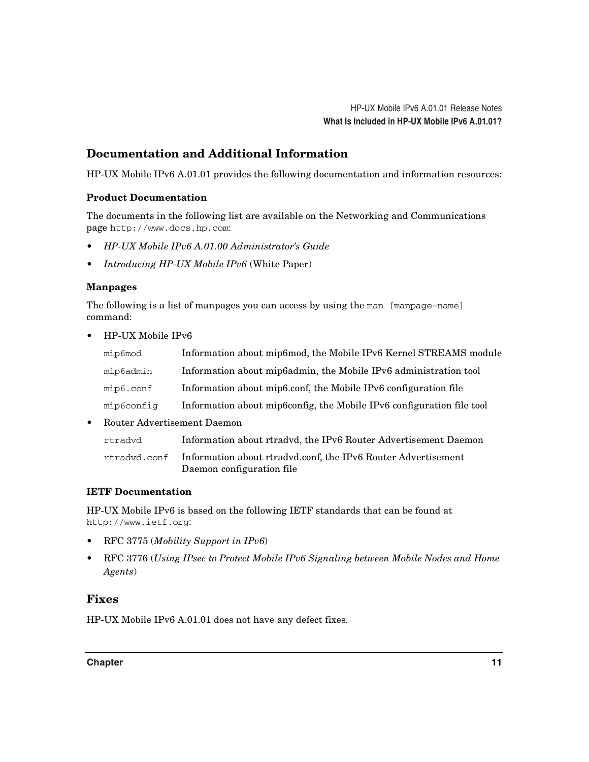## **Documentation and Additional Information**

HP-UX Mobile IPv6 A.01.01 provides the following documentation and information resources:

#### **Product Documentation**

The documents in the following list are available on the Networking and Communications page http://www.docs.hp.com:

- *HP-UX Mobile IPv6 A.01.00 Administrator's Guide*
- *Introducing HP-UX Mobile IPv6* (White Paper)

#### **Manpages**

The following is a list of manpages you can access by using the man [manpage-name] command:

• HP-UX Mobile IPv6

| mip6mod    | Information about mip6mod, the Mobile IPv6 Kernel STREAMS module      |
|------------|-----------------------------------------------------------------------|
| mip6admin  | Information about mip6admin, the Mobile IPv6 administration tool      |
| mip6.conf  | Information about mip6.conf, the Mobile IPv6 configuration file       |
| mip6confiq | Information about mip6config, the Mobile IPv6 configuration file tool |

• Router Advertisement Daemon

| rtradvd      | Information about rtradyd, the IPv6 Router Advertisement Daemon |
|--------------|-----------------------------------------------------------------|
| rtradvd.conf | Information about rtradyd.conf, the IPv6 Router Advertisement   |

#### **IETF Documentation**

HP-UX Mobile IPv6 is based on the following IETF standards that can be found at http://www.ietf.org:

Daemon configuration file

- RFC 3775 (*Mobility Support in IPv6*)
- RFC 3776 (*Using IPsec to Protect Mobile IPv6 Signaling between Mobile Nodes and Home Agents*)

#### **Fixes**

HP-UX Mobile IPv6 A.01.01 does not have any defect fixes.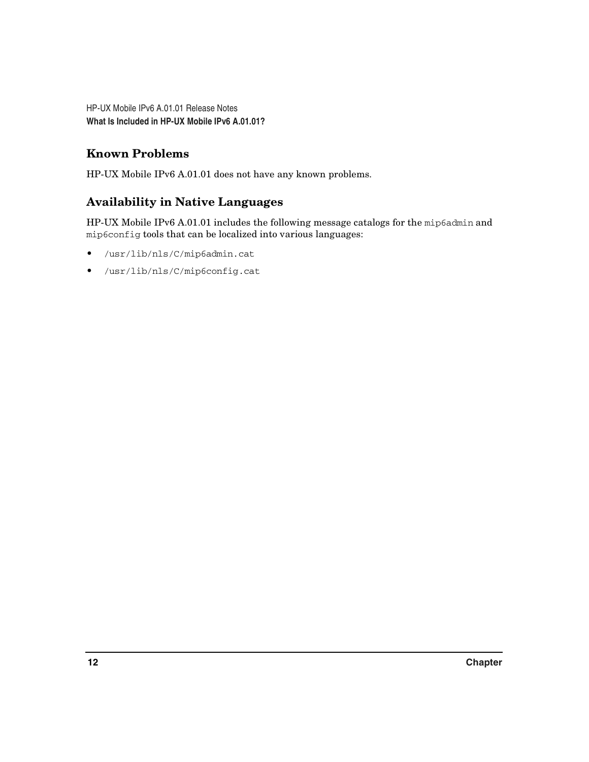## **Known Problems**

HP-UX Mobile IPv6 A.01.01 does not have any known problems.

## **Availability in Native Languages**

HP-UX Mobile IPv6 A.01.01 includes the following message catalogs for the mip6admin and mip6config tools that can be localized into various languages:

- /usr/lib/nls/C/mip6admin.cat
- /usr/lib/nls/C/mip6config.cat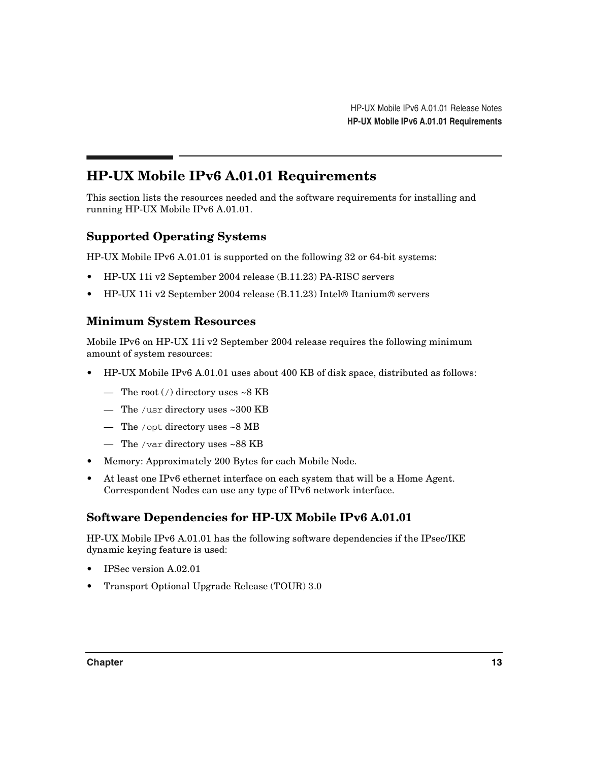## **HP-UX Mobile IPv6 A.01.01 Requirements**

This section lists the resources needed and the software requirements for installing and running HP-UX Mobile IPv6 A.01.01.

## <span id="page-12-0"></span>**Supported Operating Systems**

HP-UX Mobile IPv6 A.01.01 is supported on the following 32 or 64-bit systems:

- HP-UX 11i v2 September 2004 release (B.11.23) PA-RISC servers
- HP-UX 11i v2 September 2004 release  $(B.11.23)$  Intel<sup>®</sup> Itanium<sup>®</sup> servers

#### **Minimum System Resources**

Mobile IPv6 on HP-UX 11i v2 September 2004 release requires the following minimum amount of system resources:

- HP-UX Mobile IPv6 A.01.01 uses about 400 KB of disk space, distributed as follows:
	- The root  $\binom{7}{1}$  directory uses ~8 KB
	- The /usr directory uses ~300 KB
	- The /opt directory uses ~8 MB
	- The /var directory uses ~88 KB
- Memory: Approximately 200 Bytes for each Mobile Node.
- At least one IPv6 ethernet interface on each system that will be a Home Agent. Correspondent Nodes can use any type of IPv6 network interface.

## **Software Dependencies for HP-UX Mobile IPv6 A.01.01**

HP-UX Mobile IPv6 A.01.01 has the following software dependencies if the IPsec/IKE dynamic keying feature is used:

- IPSec version A.02.01
- Transport Optional Upgrade Release (TOUR) 3.0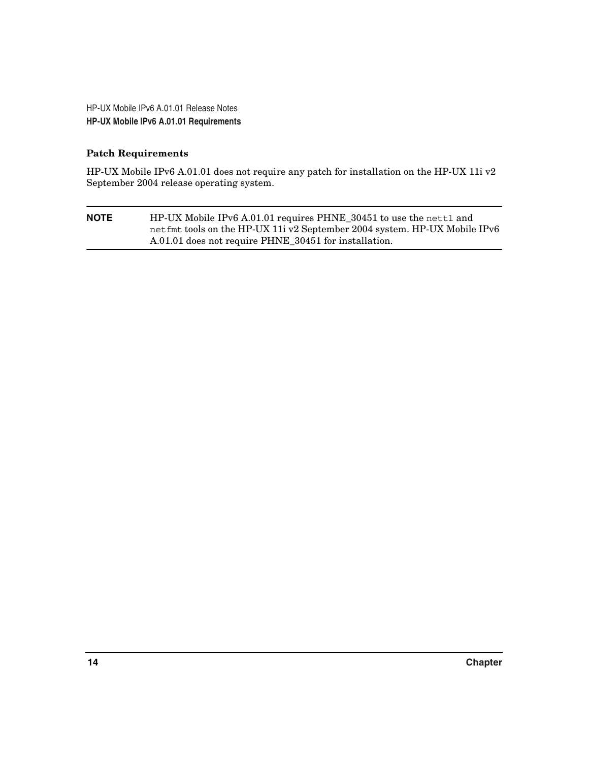#### **Patch Requirements**

HP-UX Mobile IPv6 A.01.01 does not require any patch for installation on the HP-UX 11i v2 September 2004 release operating system.

| <b>NOTE</b> | HP-UX Mobile IPv6 A.01.01 requires PHNE_30451 to use the nettl and        |
|-------------|---------------------------------------------------------------------------|
|             | net fmt tools on the HP-UX 11 v2 September 2004 system. HP-UX Mobile IPv6 |
|             | A.01.01 does not require PHNE_30451 for installation.                     |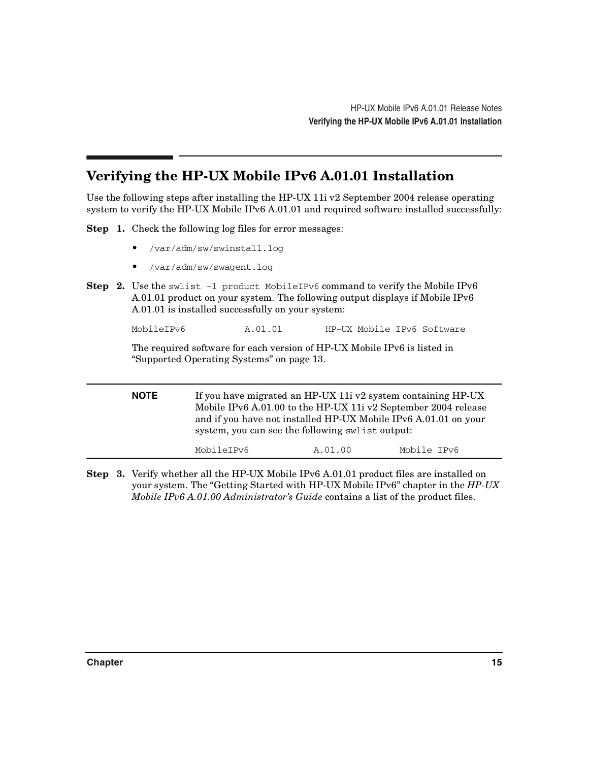## **Verifying the HP-UX Mobile IPv6 A.01.01 Installation**

Use the following steps after installing the HP-UX 11i v2 September 2004 release operating system to verify the HP-UX Mobile IPv6 A.01.01 and required software installed successfully:

**Step 1.** Check the following log files for error messages:

- /var/adm/sw/swinstall.log
- /var/adm/sw/swagent.log
- **Step 2.** Use the swlist -1 product MobileIPv6 command to verify the Mobile IPv6 A.01.01 product on your system. The following output displays if Mobile IPv6 A.01.01 is installed successfully on your system:

MobileIPv6 A.01.01 HP-UX Mobile IPv6 Software

The required software for each version of HP-UX Mobile IPv6 is listed in ["Supported Operating Systems" on page 13](#page-12-0).

**NOTE** If you have migrated an HP-UX 11i v2 system containing HP-UX Mobile IPv6 A.01.00 to the HP-UX 11i v2 September 2004 release and if you have not installed HP-UX Mobile IPv6 A.01.01 on your system, you can see the following swlist output: MobileIPv6  $A.01.00$  Mobile IPv6

**Step 3.** Verify whether all the HP-UX Mobile IPv6 A.01.01 product files are installed on your system. The "Getting Started with HP-UX Mobile IPv6" chapter in the *HP-UX Mobile IPv6 A.01.00 Administrator's Guide* contains a list of the product files.